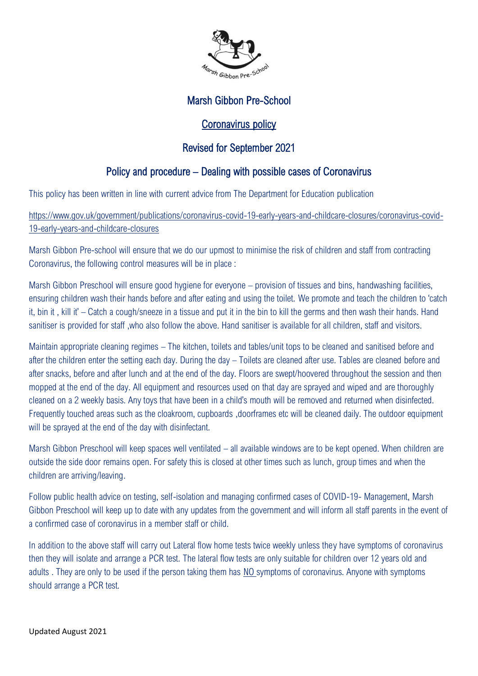

## Marsh Gibbon Pre-School

## Coronavirus policy

# Revised for September 2021

# Policy and procedure – Dealing with possible cases of Coronavirus

This policy has been written in line with current advice from The Department for Education publication

[https://www.gov.uk/government/publications/coronavirus-covid-19-early-years-and-childcare-closures/coronavirus-covid-](https://www.gov.uk/government/publications/coronavirus-covid-19-early-years-and-childcare-closures/coronavirus-covid-19-early-years-and-childcare-closures)[19-early-years-and-childcare-closures](https://www.gov.uk/government/publications/coronavirus-covid-19-early-years-and-childcare-closures/coronavirus-covid-19-early-years-and-childcare-closures) 

Marsh Gibbon Pre-school will ensure that we do our upmost to minimise the risk of children and staff from contracting Coronavirus, the following control measures will be in place :

Marsh Gibbon Preschool will ensure good hygiene for everyone – provision of tissues and bins, handwashing facilities, ensuring children wash their hands before and after eating and using the toilet. We promote and teach the children to 'catch it, bin it , kill it' – Catch a cough/sneeze in a tissue and put it in the bin to kill the germs and then wash their hands. Hand sanitiser is provided for staff ,who also follow the above. Hand sanitiser is available for all children, staff and visitors.

Maintain appropriate cleaning regimes – The kitchen, toilets and tables/unit tops to be cleaned and sanitised before and after the children enter the setting each day. During the day – Toilets are cleaned after use. Tables are cleaned before and after snacks, before and after lunch and at the end of the day. Floors are swept/hoovered throughout the session and then mopped at the end of the day. All equipment and resources used on that day are sprayed and wiped and are thoroughly cleaned on a 2 weekly basis. Any toys that have been in a child's mouth will be removed and returned when disinfected. Frequently touched areas such as the cloakroom, cupboards ,doorframes etc will be cleaned daily. The outdoor equipment will be sprayed at the end of the day with disinfectant.

Marsh Gibbon Preschool will keep spaces well ventilated – all available windows are to be kept opened. When children are outside the side door remains open. For safety this is closed at other times such as lunch, group times and when the children are arriving/leaving.

Follow public health advice on testing, self-isolation and managing confirmed cases of COVID-19- Management, Marsh Gibbon Preschool will keep up to date with any updates from the government and will inform all staff parents in the event of a confirmed case of coronavirus in a member staff or child.

In addition to the above staff will carry out Lateral flow home tests twice weekly unless they have symptoms of coronavirus then they will isolate and arrange a PCR test. The lateral flow tests are only suitable for children over 12 years old and adults . They are only to be used if the person taking them has NO symptoms of coronavirus. Anyone with symptoms should arrange a PCR test.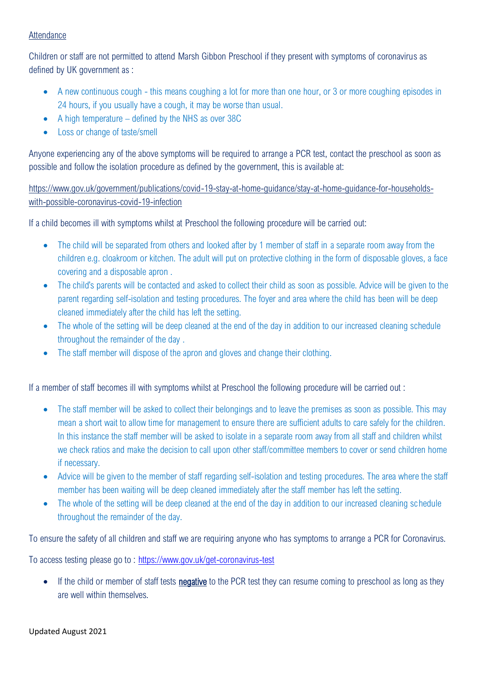#### **Attendance**

Children or staff are not permitted to attend Marsh Gibbon Preschool if they present with symptoms of coronavirus as defined by UK government as :

- A new continuous cough this means coughing a lot for more than one hour, or 3 or more coughing episodes in 24 hours, if you usually have a cough, it may be worse than usual.
- A high temperature defined by the NHS as over 38C
- Loss or change of taste/smell

Anyone experiencing any of the above symptoms will be required to arrange a PCR test, contact the preschool as soon as possible and follow the isolation procedure as defined by the government, this is available at:

[https://www.gov.uk/government/publications/covid-19-stay-at-home-guidance/stay-at-home-guidance-for-households](https://www.gov.uk/government/publications/covid-19-stay-at-home-guidance/stay-at-home-guidance-for-households-with-possible-coronavirus-covid-19-infection)[with-possible-coronavirus-covid-19-infection](https://www.gov.uk/government/publications/covid-19-stay-at-home-guidance/stay-at-home-guidance-for-households-with-possible-coronavirus-covid-19-infection)

If a child becomes ill with symptoms whilst at Preschool the following procedure will be carried out:

- The child will be separated from others and looked after by 1 member of staff in a separate room away from the children e.g. cloakroom or kitchen. The adult will put on protective clothing in the form of disposable gloves, a face covering and a disposable apron .
- The child's parents will be contacted and asked to collect their child as soon as possible. Advice will be given to the parent regarding self-isolation and testing procedures. The foyer and area where the child has been will be deep cleaned immediately after the child has left the setting.
- The whole of the setting will be deep cleaned at the end of the day in addition to our increased cleaning schedule throughout the remainder of the day .
- The staff member will dispose of the apron and gloves and change their clothing.

If a member of staff becomes ill with symptoms whilst at Preschool the following procedure will be carried out :

- The staff member will be asked to collect their belongings and to leave the premises as soon as possible. This may mean a short wait to allow time for management to ensure there are sufficient adults to care safely for the children. In this instance the staff member will be asked to isolate in a separate room away from all staff and children whilst we check ratios and make the decision to call upon other staff/committee members to cover or send children home if necessary.
- Advice will be given to the member of staff regarding self-isolation and testing procedures. The area where the staff member has been waiting will be deep cleaned immediately after the staff member has left the setting.
- The whole of the setting will be deep cleaned at the end of the day in addition to our increased cleaning schedule throughout the remainder of the day.

To ensure the safety of all children and staff we are requiring anyone who has symptoms to arrange a PCR for Coronavirus.

To access testing please go to : <https://www.gov.uk/get-coronavirus-test>

• If the child or member of staff tests **negative** to the PCR test they can resume coming to preschool as long as they are well within themselves.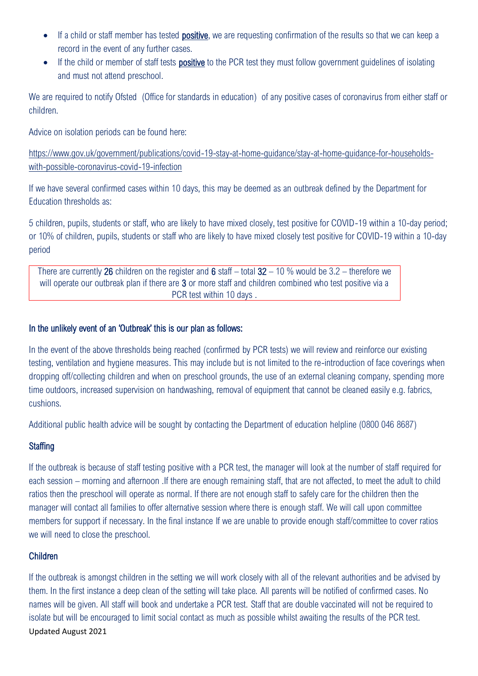- If a child or staff member has tested **positive**, we are requesting confirmation of the results so that we can keep a record in the event of any further cases.
- If the child or member of staff tests **positive** to the PCR test they must follow government quidelines of isolating and must not attend preschool.

We are required to notify Ofsted (Office for standards in education) of any positive cases of coronavirus from either staff or children.

Advice on isolation periods can be found here:

[https://www.gov.uk/government/publications/covid-19-stay-at-home-guidance/stay-at-home-guidance-for-households](https://www.gov.uk/government/publications/covid-19-stay-at-home-guidance/stay-at-home-guidance-for-households-with-possible-coronavirus-covid-19-infection)[with-possible-coronavirus-covid-19-infection](https://www.gov.uk/government/publications/covid-19-stay-at-home-guidance/stay-at-home-guidance-for-households-with-possible-coronavirus-covid-19-infection)

If we have several confirmed cases within 10 days, this may be deemed as an outbreak defined by the Department for Education thresholds as:

5 children, pupils, students or staff, who are likely to have mixed closely, test positive for COVID-19 within a 10-day period; or 10% of children, pupils, students or staff who are likely to have mixed closely test positive for COVID-19 within a 10-day period

There are currently 26 children on the register and 6 staff – total  $32 - 10$  % would be  $3.2 -$  therefore we will operate our outbreak plan if there are 3 or more staff and children combined who test positive via a PCR test within 10 days .

#### In the unlikely event of an 'Outbreak' this is our plan as follows:

In the event of the above thresholds being reached (confirmed by PCR tests) we will review and reinforce our existing testing, ventilation and hygiene measures. This may include but is not limited to the re-introduction of face coverings when dropping off/collecting children and when on preschool grounds, the use of an external cleaning company, spending more time outdoors, increased supervision on handwashing, removal of equipment that cannot be cleaned easily e.g. fabrics, cushions.

Additional public health advice will be sought by contacting the Department of education helpline (0800 046 8687)

## **Staffing**

If the outbreak is because of staff testing positive with a PCR test, the manager will look at the number of staff required for each session – morning and afternoon .If there are enough remaining staff, that are not affected, to meet the adult to child ratios then the preschool will operate as normal. If there are not enough staff to safely care for the children then the manager will contact all families to offer alternative session where there is enough staff. We will call upon committee members for support if necessary. In the final instance If we are unable to provide enough staff/committee to cover ratios we will need to close the preschool.

## Children

Updated August 2021 If the outbreak is amongst children in the setting we will work closely with all of the relevant authorities and be advised by them. In the first instance a deep clean of the setting will take place. All parents will be notified of confirmed cases. No names will be given. All staff will book and undertake a PCR test. Staff that are double vaccinated will not be required to isolate but will be encouraged to limit social contact as much as possible whilst awaiting the results of the PCR test.